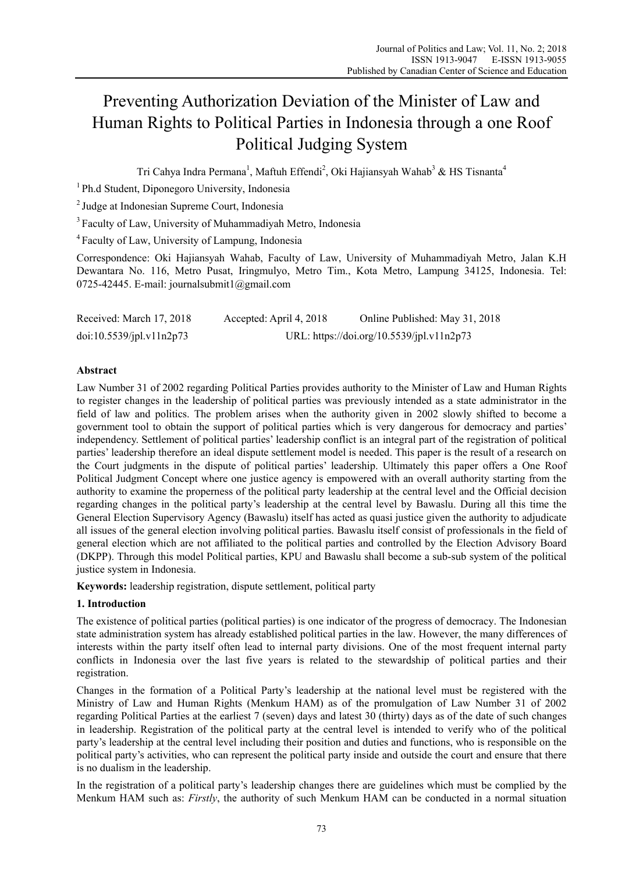# Preventing Authorization Deviation of the Minister of Law and Human Rights to Political Parties in Indonesia through a one Roof Political Judging System

Tri Cahya Indra Permana<sup>1</sup>, Maftuh Effendi<sup>2</sup>, Oki Hajiansyah Wahab<sup>3</sup> & HS Tisnanta<sup>4</sup>

1 Ph.d Student, Diponegoro University, Indonesia

2 Judge at Indonesian Supreme Court, Indonesia

3 Faculty of Law, University of Muhammadiyah Metro, Indonesia

4 Faculty of Law, University of Lampung, Indonesia

Correspondence: Oki Hajiansyah Wahab, Faculty of Law, University of Muhammadiyah Metro, Jalan K.H Dewantara No. 116, Metro Pusat, Iringmulyo, Metro Tim., Kota Metro, Lampung 34125, Indonesia. Tel: 0725-42445. E-mail: journalsubmit1@gmail.com

| Received: March 17, 2018 | Accepted: April 4, 2018                   | Online Published: May 31, 2018 |
|--------------------------|-------------------------------------------|--------------------------------|
| doi:10.5539/ipl.v11n2p73 | URL: https://doi.org/10.5539/jpl.v11n2p73 |                                |

## **Abstract**

Law Number 31 of 2002 regarding Political Parties provides authority to the Minister of Law and Human Rights to register changes in the leadership of political parties was previously intended as a state administrator in the field of law and politics. The problem arises when the authority given in 2002 slowly shifted to become a government tool to obtain the support of political parties which is very dangerous for democracy and parties' independency. Settlement of political parties' leadership conflict is an integral part of the registration of political parties' leadership therefore an ideal dispute settlement model is needed. This paper is the result of a research on the Court judgments in the dispute of political parties' leadership. Ultimately this paper offers a One Roof Political Judgment Concept where one justice agency is empowered with an overall authority starting from the authority to examine the properness of the political party leadership at the central level and the Official decision regarding changes in the political party's leadership at the central level by Bawaslu. During all this time the General Election Supervisory Agency (Bawaslu) itself has acted as quasi justice given the authority to adjudicate all issues of the general election involving political parties. Bawaslu itself consist of professionals in the field of general election which are not affiliated to the political parties and controlled by the Election Advisory Board (DKPP). Through this model Political parties, KPU and Bawaslu shall become a sub-sub system of the political justice system in Indonesia.

**Keywords:** leadership registration, dispute settlement, political party

# **1. Introduction**

The existence of political parties (political parties) is one indicator of the progress of democracy. The Indonesian state administration system has already established political parties in the law. However, the many differences of interests within the party itself often lead to internal party divisions. One of the most frequent internal party conflicts in Indonesia over the last five years is related to the stewardship of political parties and their registration.

Changes in the formation of a Political Party's leadership at the national level must be registered with the Ministry of Law and Human Rights (Menkum HAM) as of the promulgation of Law Number 31 of 2002 regarding Political Parties at the earliest 7 (seven) days and latest 30 (thirty) days as of the date of such changes in leadership. Registration of the political party at the central level is intended to verify who of the political party's leadership at the central level including their position and duties and functions, who is responsible on the political party's activities, who can represent the political party inside and outside the court and ensure that there is no dualism in the leadership.

In the registration of a political party's leadership changes there are guidelines which must be complied by the Menkum HAM such as: *Firstly*, the authority of such Menkum HAM can be conducted in a normal situation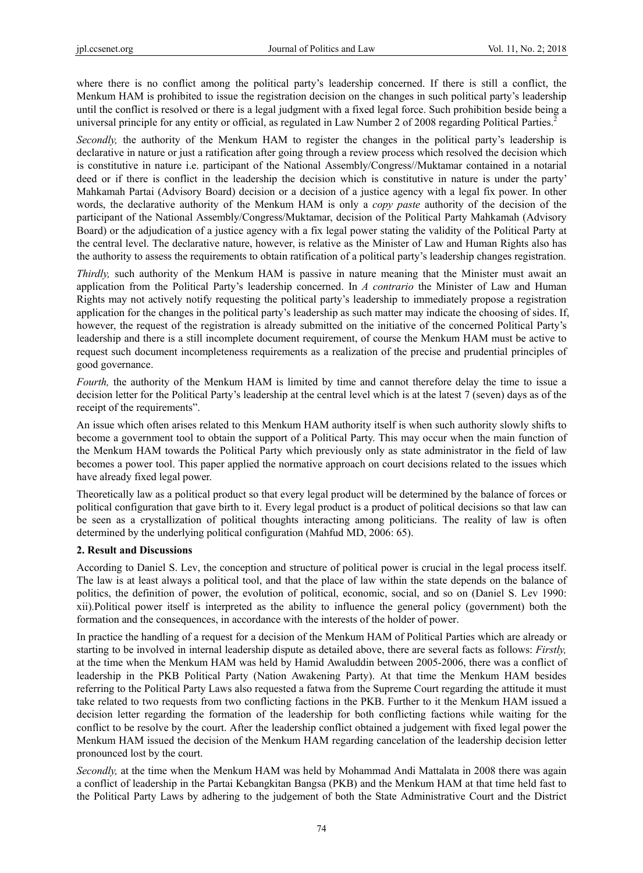where there is no conflict among the political party's leadership concerned. If there is still a conflict, the Menkum HAM is prohibited to issue the registration decision on the changes in such political party's leadership until the conflict is resolved or there is a legal judgment with a fixed legal force. Such prohibition beside being a universal principle for any entity or official, as regulated in Law Number 2 of 2008 regarding Political Parties.2

*Secondly*, the authority of the Menkum HAM to register the changes in the political party's leadership is declarative in nature or just a ratification after going through a review process which resolved the decision which is constitutive in nature i.e. participant of the National Assembly/Congress//Muktamar contained in a notarial deed or if there is conflict in the leadership the decision which is constitutive in nature is under the party' Mahkamah Partai (Advisory Board) decision or a decision of a justice agency with a legal fix power. In other words, the declarative authority of the Menkum HAM is only a *copy paste* authority of the decision of the participant of the National Assembly/Congress/Muktamar, decision of the Political Party Mahkamah (Advisory Board) or the adjudication of a justice agency with a fix legal power stating the validity of the Political Party at the central level. The declarative nature, however, is relative as the Minister of Law and Human Rights also has the authority to assess the requirements to obtain ratification of a political party's leadership changes registration.

*Thirdly,* such authority of the Menkum HAM is passive in nature meaning that the Minister must await an application from the Political Party's leadership concerned. In *A contrario* the Minister of Law and Human Rights may not actively notify requesting the political party's leadership to immediately propose a registration application for the changes in the political party's leadership as such matter may indicate the choosing of sides. If, however, the request of the registration is already submitted on the initiative of the concerned Political Party's leadership and there is a still incomplete document requirement, of course the Menkum HAM must be active to request such document incompleteness requirements as a realization of the precise and prudential principles of good governance.

*Fourth*, the authority of the Menkum HAM is limited by time and cannot therefore delay the time to issue a decision letter for the Political Party's leadership at the central level which is at the latest 7 (seven) days as of the receipt of the requirements".

An issue which often arises related to this Menkum HAM authority itself is when such authority slowly shifts to become a government tool to obtain the support of a Political Party. This may occur when the main function of the Menkum HAM towards the Political Party which previously only as state administrator in the field of law becomes a power tool. This paper applied the normative approach on court decisions related to the issues which have already fixed legal power.

Theoretically law as a political product so that every legal product will be determined by the balance of forces or political configuration that gave birth to it. Every legal product is a product of political decisions so that law can be seen as a crystallization of political thoughts interacting among politicians. The reality of law is often determined by the underlying political configuration (Mahfud MD, 2006: 65).

#### **2. Result and Discussions**

According to Daniel S. Lev, the conception and structure of political power is crucial in the legal process itself. The law is at least always a political tool, and that the place of law within the state depends on the balance of politics, the definition of power, the evolution of political, economic, social, and so on (Daniel S. Lev 1990: xii).Political power itself is interpreted as the ability to influence the general policy (government) both the formation and the consequences, in accordance with the interests of the holder of power.

In practice the handling of a request for a decision of the Menkum HAM of Political Parties which are already or starting to be involved in internal leadership dispute as detailed above, there are several facts as follows: *Firstly,*  at the time when the Menkum HAM was held by Hamid Awaluddin between 2005-2006, there was a conflict of leadership in the PKB Political Party (Nation Awakening Party). At that time the Menkum HAM besides referring to the Political Party Laws also requested a fatwa from the Supreme Court regarding the attitude it must take related to two requests from two conflicting factions in the PKB. Further to it the Menkum HAM issued a decision letter regarding the formation of the leadership for both conflicting factions while waiting for the conflict to be resolve by the court. After the leadership conflict obtained a judgement with fixed legal power the Menkum HAM issued the decision of the Menkum HAM regarding cancelation of the leadership decision letter pronounced lost by the court.

*Secondly,* at the time when the Menkum HAM was held by Mohammad Andi Mattalata in 2008 there was again a conflict of leadership in the Partai Kebangkitan Bangsa (PKB) and the Menkum HAM at that time held fast to the Political Party Laws by adhering to the judgement of both the State Administrative Court and the District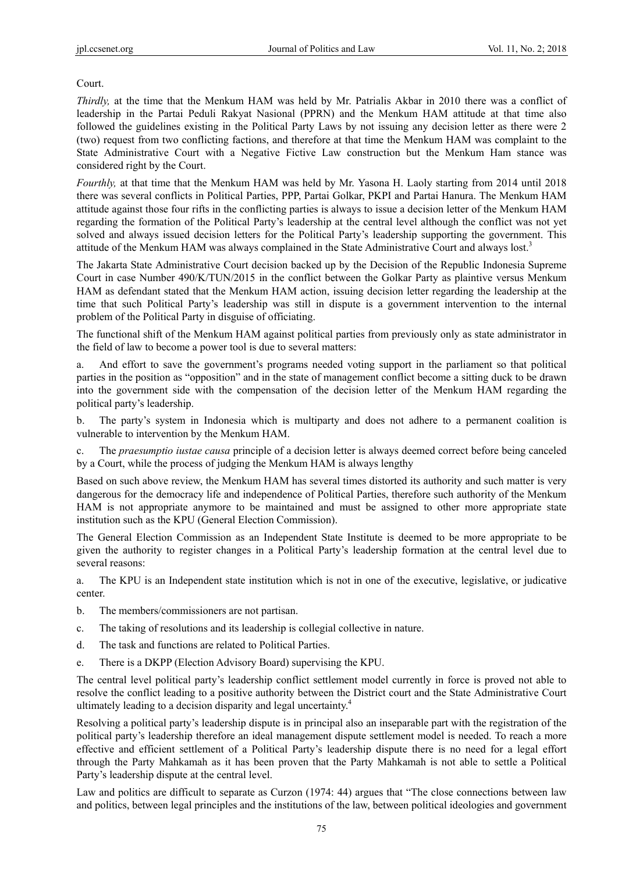# Court.

*Thirdly,* at the time that the Menkum HAM was held by Mr. Patrialis Akbar in 2010 there was a conflict of leadership in the Partai Peduli Rakyat Nasional (PPRN) and the Menkum HAM attitude at that time also followed the guidelines existing in the Political Party Laws by not issuing any decision letter as there were 2 (two) request from two conflicting factions, and therefore at that time the Menkum HAM was complaint to the State Administrative Court with a Negative Fictive Law construction but the Menkum Ham stance was considered right by the Court.

*Fourthly,* at that time that the Menkum HAM was held by Mr. Yasona H. Laoly starting from 2014 until 2018 there was several conflicts in Political Parties, PPP, Partai Golkar, PKPI and Partai Hanura. The Menkum HAM attitude against those four rifts in the conflicting parties is always to issue a decision letter of the Menkum HAM regarding the formation of the Political Party's leadership at the central level although the conflict was not yet solved and always issued decision letters for the Political Party's leadership supporting the government. This attitude of the Menkum HAM was always complained in the State Administrative Court and always lost.<sup>3</sup>

The Jakarta State Administrative Court decision backed up by the Decision of the Republic Indonesia Supreme Court in case Number 490/K/TUN/2015 in the conflict between the Golkar Party as plaintive versus Menkum HAM as defendant stated that the Menkum HAM action, issuing decision letter regarding the leadership at the time that such Political Party's leadership was still in dispute is a government intervention to the internal problem of the Political Party in disguise of officiating.

The functional shift of the Menkum HAM against political parties from previously only as state administrator in the field of law to become a power tool is due to several matters:

a. And effort to save the government's programs needed voting support in the parliament so that political parties in the position as "opposition" and in the state of management conflict become a sitting duck to be drawn into the government side with the compensation of the decision letter of the Menkum HAM regarding the political party's leadership.

b. The party's system in Indonesia which is multiparty and does not adhere to a permanent coalition is vulnerable to intervention by the Menkum HAM.

c. The *praesumptio iustae causa* principle of a decision letter is always deemed correct before being canceled by a Court, while the process of judging the Menkum HAM is always lengthy

Based on such above review, the Menkum HAM has several times distorted its authority and such matter is very dangerous for the democracy life and independence of Political Parties, therefore such authority of the Menkum HAM is not appropriate anymore to be maintained and must be assigned to other more appropriate state institution such as the KPU (General Election Commission).

The General Election Commission as an Independent State Institute is deemed to be more appropriate to be given the authority to register changes in a Political Party's leadership formation at the central level due to several reasons:

a. The KPU is an Independent state institution which is not in one of the executive, legislative, or judicative center.

- b. The members/commissioners are not partisan.
- c. The taking of resolutions and its leadership is collegial collective in nature.
- d. The task and functions are related to Political Parties.
- e. There is a DKPP (Election Advisory Board) supervising the KPU.

The central level political party's leadership conflict settlement model currently in force is proved not able to resolve the conflict leading to a positive authority between the District court and the State Administrative Court ultimately leading to a decision disparity and legal uncertainty.4

Resolving a political party's leadership dispute is in principal also an inseparable part with the registration of the political party's leadership therefore an ideal management dispute settlement model is needed. To reach a more effective and efficient settlement of a Political Party's leadership dispute there is no need for a legal effort through the Party Mahkamah as it has been proven that the Party Mahkamah is not able to settle a Political Party's leadership dispute at the central level.

Law and politics are difficult to separate as Curzon (1974: 44) argues that "The close connections between law and politics, between legal principles and the institutions of the law, between political ideologies and government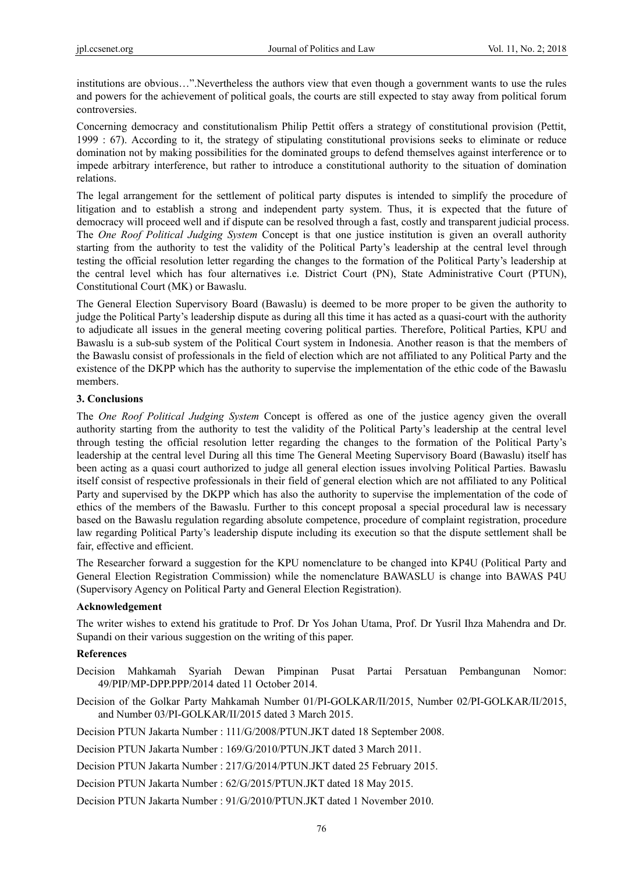institutions are obvious…".Nevertheless the authors view that even though a government wants to use the rules and powers for the achievement of political goals, the courts are still expected to stay away from political forum controversies.

Concerning democracy and constitutionalism Philip Pettit offers a strategy of constitutional provision (Pettit, 1999 : 67). According to it, the strategy of stipulating constitutional provisions seeks to eliminate or reduce domination not by making possibilities for the dominated groups to defend themselves against interference or to impede arbitrary interference, but rather to introduce a constitutional authority to the situation of domination relations.

The legal arrangement for the settlement of political party disputes is intended to simplify the procedure of litigation and to establish a strong and independent party system. Thus, it is expected that the future of democracy will proceed well and if dispute can be resolved through a fast, costly and transparent judicial process. The *One Roof Political Judging System* Concept is that one justice institution is given an overall authority starting from the authority to test the validity of the Political Party's leadership at the central level through testing the official resolution letter regarding the changes to the formation of the Political Party's leadership at the central level which has four alternatives i.e. District Court (PN), State Administrative Court (PTUN), Constitutional Court (MK) or Bawaslu.

The General Election Supervisory Board (Bawaslu) is deemed to be more proper to be given the authority to judge the Political Party's leadership dispute as during all this time it has acted as a quasi-court with the authority to adjudicate all issues in the general meeting covering political parties. Therefore, Political Parties, KPU and Bawaslu is a sub-sub system of the Political Court system in Indonesia. Another reason is that the members of the Bawaslu consist of professionals in the field of election which are not affiliated to any Political Party and the existence of the DKPP which has the authority to supervise the implementation of the ethic code of the Bawaslu members.

## **3. Conclusions**

The *One Roof Political Judging System* Concept is offered as one of the justice agency given the overall authority starting from the authority to test the validity of the Political Party's leadership at the central level through testing the official resolution letter regarding the changes to the formation of the Political Party's leadership at the central level During all this time The General Meeting Supervisory Board (Bawaslu) itself has been acting as a quasi court authorized to judge all general election issues involving Political Parties. Bawaslu itself consist of respective professionals in their field of general election which are not affiliated to any Political Party and supervised by the DKPP which has also the authority to supervise the implementation of the code of ethics of the members of the Bawaslu. Further to this concept proposal a special procedural law is necessary based on the Bawaslu regulation regarding absolute competence, procedure of complaint registration, procedure law regarding Political Party's leadership dispute including its execution so that the dispute settlement shall be fair, effective and efficient.

The Researcher forward a suggestion for the KPU nomenclature to be changed into KP4U (Political Party and General Election Registration Commission) while the nomenclature BAWASLU is change into BAWAS P4U (Supervisory Agency on Political Party and General Election Registration).

## **Acknowledgement**

The writer wishes to extend his gratitude to Prof. Dr Yos Johan Utama, Prof. Dr Yusril Ihza Mahendra and Dr. Supandi on their various suggestion on the writing of this paper.

#### **References**

- Decision Mahkamah Syariah Dewan Pimpinan Pusat Partai Persatuan Pembangunan Nomor: 49/PIP/MP-DPP.PPP/2014 dated 11 October 2014.
- Decision of the Golkar Party Mahkamah Number 01/PI-GOLKAR/II/2015, Number 02/PI-GOLKAR/II/2015, and Number 03/PI-GOLKAR/II/2015 dated 3 March 2015.
- Decision PTUN Jakarta Number : 111/G/2008/PTUN.JKT dated 18 September 2008.

Decision PTUN Jakarta Number : 169/G/2010/PTUN.JKT dated 3 March 2011.

Decision PTUN Jakarta Number : 217/G/2014/PTUN.JKT dated 25 February 2015.

Decision PTUN Jakarta Number : 62/G/2015/PTUN.JKT dated 18 May 2015.

Decision PTUN Jakarta Number : 91/G/2010/PTUN.JKT dated 1 November 2010.